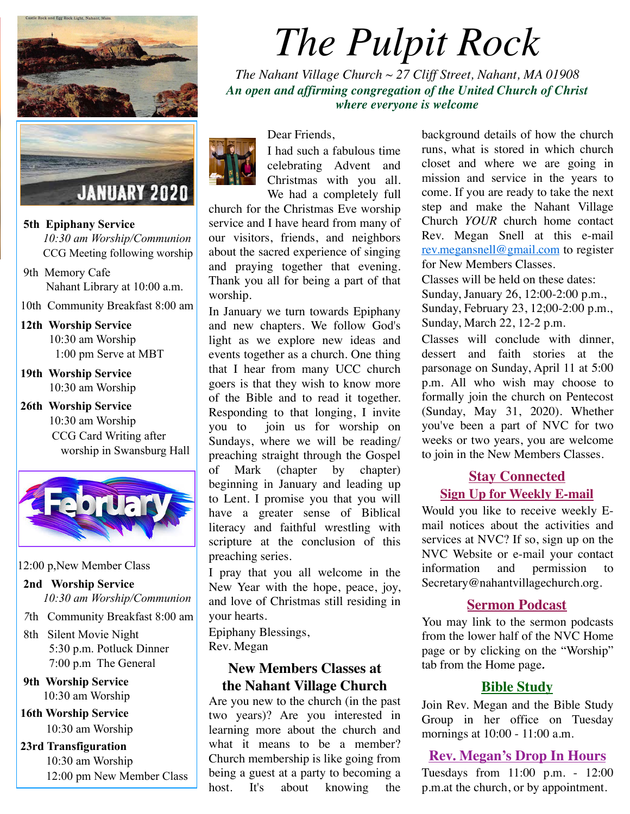

 **5th Epiphany Service** 

 *10:30 am Worship/Communion* CCG Meeting following worship

- 9th Memory Cafe Nahant Library at 10:00 a.m.
- 10th Community Breakfast 8:00 am
- **12th Worship Service**  10:30 am Worship 1:00 pm Serve at MBT
- **19th Worship Service**  10:30 am Worship
- **26th Worship Service**  10:30 am Worship CCG Card Writing after worship in Swansburg Hall



#### 12:00 p,New Member Class

- **2nd Worship Service**  *10:30 am Worship/Communion*
- *7*th Community Breakfast 8:00 am
- 8th Silent Movie Night 5:30 p.m. Potluck Dinner 7:00 p.m The General
- **9th Worship Service**  10:30 am Worship
- **16th Worship Service**  10:30 am Worship

## **23rd Transfiguration**  10:30 am Worship 12:00 pm New Member Class

# *The Pulpit Rock*

*The Nahant Village Church ~ 27 Cliff Street, Nahant, MA 01908 An open and affirming congregation of the United Church of Christ where everyone is welcome*



Dear Friends,

I had such a fabulous time celebrating Advent and Christmas with you all. We had a completely full

church for the Christmas Eve worship service and I have heard from many of our visitors, friends, and neighbors about the sacred experience of singing and praying together that evening. Thank you all for being a part of that worship.

In January we turn towards Epiphany and new chapters. We follow God's light as we explore new ideas and events together as a church. One thing that I hear from many UCC church goers is that they wish to know more of the Bible and to read it together. Responding to that longing, I invite you to join us for worship on Sundays, where we will be reading/ preaching straight through the Gospel of Mark (chapter by chapter) beginning in January and leading up to Lent. I promise you that you will have a greater sense of Biblical literacy and faithful wrestling with scripture at the conclusion of this preaching series.

I pray that you all welcome in the New Year with the hope, peace, joy, and love of Christmas still residing in your hearts.

Epiphany Blessings, Rev. Megan

## **New Members Classes at the Nahant Village Church**

Are you new to the church (in the past two years)? Are you interested in learning more about the church and what it means to be a member? Church membership is like going from being a guest at a party to becoming a host. It's about knowing the

background details of how the church runs, what is stored in which church closet and where we are going in mission and service in the years to come. If you are ready to take the next step and make the Nahant Village Church *YOUR* church home contact Rev. Megan Snell at this e-mail [rev.megansnell@gmail.com](mailto:rev.megansnell@gmail.com) to register for New Members Classes.

Classes will be held on these dates: Sunday, January 26, 12:00-2:00 p.m., Sunday, February 23, 12;00-2:00 p.m., Sunday, March 22, 12-2 p.m.

Classes will conclude with dinner, dessert and faith stories at the parsonage on Sunday, April 11 at 5:00 p.m. All who wish may choose to formally join the church on Pentecost (Sunday, May 31, 2020). Whether you've been a part of NVC for two weeks or two years, you are welcome to join in the New Members Classes.

## **Stay Connected Sign Up for Weekly E-mail**

Would you like to receive weekly Email notices about the activities and services at NVC? If so, sign up on the NVC Website or e-mail your contact information and permission to Secretary@nahantvillagechurch.org.

#### **Sermon Podcast**

You may link to the sermon podcasts from the lower half of the NVC Home page or by clicking on the "Worship" tab from the Home page*.*

#### **Bible Study**

Join Rev. Megan and the Bible Study Group in her office on Tuesday mornings at 10:00 - 11:00 a.m.

#### **Rev. Megan's Drop In Hours**

Tuesdays from 11:00 p.m. - 12:00 p.m.at the church, or by appointment.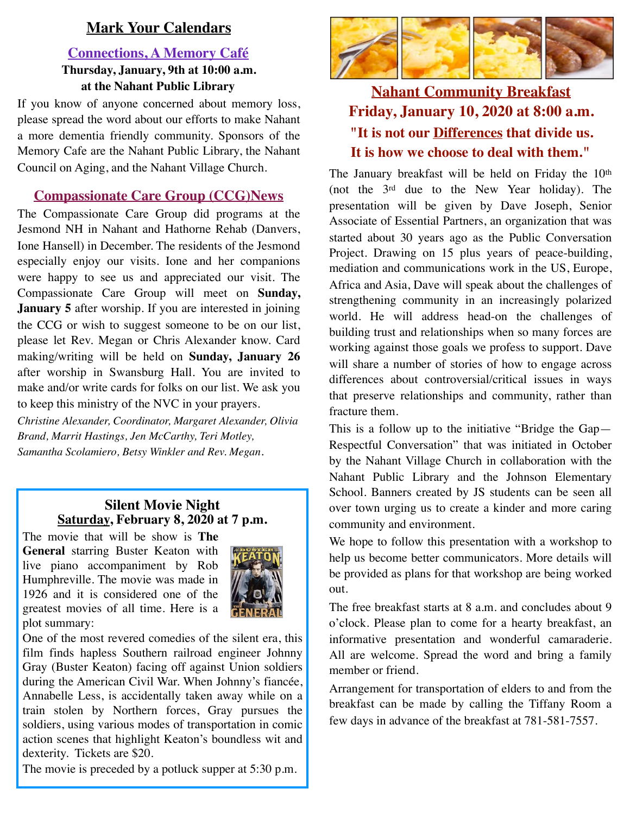## **Mark Your Calendars**

## **Connections, A Memory Café Thursday, January, 9th at 10:00 a.m. at the Nahant Public Library**

If you know of anyone concerned about memory loss, please spread the word about our efforts to make Nahant a more dementia friendly community. Sponsors of the Memory Cafe are the Nahant Public Library, the Nahant Council on Aging, and the Nahant Village Church.

## **Compassionate Care Group (CCG)News**

The Compassionate Care Group did programs at the Jesmond NH in Nahant and Hathorne Rehab (Danvers, Ione Hansell) in December. The residents of the Jesmond especially enjoy our visits. Ione and her companions were happy to see us and appreciated our visit. The Compassionate Care Group will meet on **Sunday, January 5** after worship. If you are interested in joining the CCG or wish to suggest someone to be on our list, please let Rev. Megan or Chris Alexander know. Card making/writing will be held on **Sunday, January 26** after worship in Swansburg Hall. You are invited to make and/or write cards for folks on our list. We ask you to keep this ministry of the NVC in your prayers.

*Christine Alexander, Coordinator, Margaret Alexander, Olivia Brand, Marrit Hastings, Jen McCarthy, Teri Motley, Samantha Scolamiero, Betsy Winkler and Rev. Megan*.

## **Silent Movie Night Saturday, February 8, 2020 at 7 p.m.**

The movie that will be show is **The General** starring Buster Keaton with live piano accompaniment by Rob Humphreville. The movie was made in 1926 and it is considered one of the greatest movies of all time. Here is a plot summary:



One of the most revered comedies of the silent era, this film finds hapless Southern railroad engineer Johnny Gray (Buster Keaton) facing off against Union soldiers during the American Civil War. When Johnny's fiancée, Annabelle Less, is accidentally taken away while on a train stolen by Northern forces, Gray pursues the soldiers, using various modes of transportation in comic action scenes that highlight Keaton's boundless wit and dexterity. Tickets are \$20.

The movie is preceded by a potluck supper at 5:30 p.m.



# **Nahant Community Breakfast Friday, January 10, 2020 at 8:00 a.m. "It is not our Differences that divide us. It is how we choose to deal with them."**

The January breakfast will be held on Friday the 10<sup>th</sup> (not the 3rd due to the New Year holiday). The presentation will be given by Dave Joseph, Senior Associate of Essential Partners, an organization that was started about 30 years ago as the Public Conversation Project. Drawing on 15 plus years of peace-building, mediation and communications work in the US, Europe, Africa and Asia, Dave will speak about the challenges of strengthening community in an increasingly polarized world. He will address head-on the challenges of building trust and relationships when so many forces are working against those goals we profess to support. Dave will share a number of stories of how to engage across differences about controversial/critical issues in ways that preserve relationships and community, rather than fracture them.

This is a follow up to the initiative "Bridge the Gap— Respectful Conversation" that was initiated in October by the Nahant Village Church in collaboration with the Nahant Public Library and the Johnson Elementary School. Banners created by JS students can be seen all over town urging us to create a kinder and more caring community and environment.

We hope to follow this presentation with a workshop to help us become better communicators. More details will be provided as plans for that workshop are being worked out.

The free breakfast starts at 8 a.m. and concludes about 9 o'clock. Please plan to come for a hearty breakfast, an informative presentation and wonderful camaraderie. All are welcome. Spread the word and bring a family member or friend.

Arrangement for transportation of elders to and from the breakfast can be made by calling the Tiffany Room a few days in advance of the breakfast at 781-581-7557.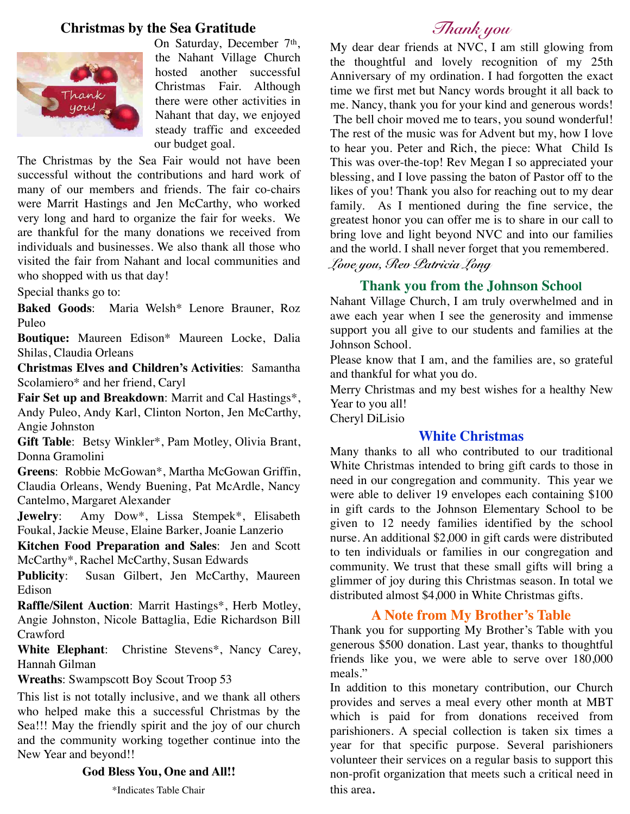#### **Christmas by the Sea Gratitude**



On Saturday, December 7<sup>th</sup>, the Nahant Village Church hosted another successful Christmas Fair. Although there were other activities in Nahant that day, we enjoyed steady traffic and exceeded our budget goal.

The Christmas by the Sea Fair would not have been successful without the contributions and hard work of many of our members and friends. The fair co-chairs were Marrit Hastings and Jen McCarthy, who worked very long and hard to organize the fair for weeks. We are thankful for the many donations we received from individuals and businesses. We also thank all those who visited the fair from Nahant and local communities and who shopped with us that day!

Special thanks go to:

**Baked Goods**: Maria Welsh\* Lenore Brauner, Roz Puleo

**Boutique:** Maureen Edison\* Maureen Locke, Dalia Shilas, Claudia Orleans

**Christmas Elves and Children's Activities**: Samantha Scolamiero\* and her friend, Caryl

**Fair Set up and Breakdown**: Marrit and Cal Hastings\*, Andy Puleo, Andy Karl, Clinton Norton, Jen McCarthy, Angie Johnston

**Gift Table**: Betsy Winkler\*, Pam Motley, Olivia Brant, Donna Gramolini

**Greens**: Robbie McGowan\*, Martha McGowan Griffin, Claudia Orleans, Wendy Buening, Pat McArdle, Nancy Cantelmo, Margaret Alexander

**Jewelry**: Amy Dow\*, Lissa Stempek\*, Elisabeth Foukal, Jackie Meuse, Elaine Barker, Joanie Lanzerio

**Kitchen Food Preparation and Sales**: Jen and Scott McCarthy\*, Rachel McCarthy, Susan Edwards

**Publicity**: Susan Gilbert, Jen McCarthy, Maureen Edison

**Raffle/Silent Auction**: Marrit Hastings\*, Herb Motley, Angie Johnston, Nicole Battaglia, Edie Richardson Bill Crawford

**White Elephant**: Christine Stevens\*, Nancy Carey, Hannah Gilman

**Wreaths**: Swampscott Boy Scout Troop 53

This list is not totally inclusive, and we thank all others who helped make this a successful Christmas by the Sea!!! May the friendly spirit and the joy of our church and the community working together continue into the New Year and beyond!!

#### **God Bless You, One and All!!**

\*Indicates Table Chair

# *Thank you*

My dear dear friends at NVC, I am still glowing from the thoughtful and lovely recognition of my 25th Anniversary of my ordination. I had forgotten the exact time we first met but Nancy words brought it all back to me. Nancy, thank you for your kind and generous words! The bell choir moved me to tears, you sound wonderful! The rest of the music was for Advent but my, how I love to hear you. Peter and Rich, the piece: What Child Is This was over-the-top! Rev Megan I so appreciated your blessing, and I love passing the baton of Pastor off to the likes of you! Thank you also for reaching out to my dear family. As I mentioned during the fine service, the greatest honor you can offer me is to share in our call to bring love and light beyond NVC and into our families and the world. I shall never forget that you remembered. *Love you, Rev Patricia Long* 

#### **Thank you from the Johnson School**

Nahant Village Church, I am truly overwhelmed and in awe each year when I see the generosity and immense support you all give to our students and families at the Johnson School.

Please know that I am, and the families are, so grateful and thankful for what you do.

Merry Christmas and my best wishes for a healthy New Year to you all! Cheryl DiLisio

#### **White Christmas**

Many thanks to all who contributed to our traditional White Christmas intended to bring gift cards to those in need in our congregation and community. This year we were able to deliver 19 envelopes each containing \$100 in gift cards to the Johnson Elementary School to be given to 12 needy families identified by the school nurse. An additional \$2,000 in gift cards were distributed to ten individuals or families in our congregation and community. We trust that these small gifts will bring a glimmer of joy during this Christmas season. In total we distributed almost \$4,000 in White Christmas gifts.

#### **A Note from My Brother's Table**

Thank you for supporting My Brother's Table with you generous \$500 donation. Last year, thanks to thoughtful friends like you, we were able to serve over 180,000 meals."

In addition to this monetary contribution, our Church provides and serves a meal every other month at MBT which is paid for from donations received from parishioners. A special collection is taken six times a year for that specific purpose. Several parishioners volunteer their services on a regular basis to support this non-profit organization that meets such a critical need in this area.